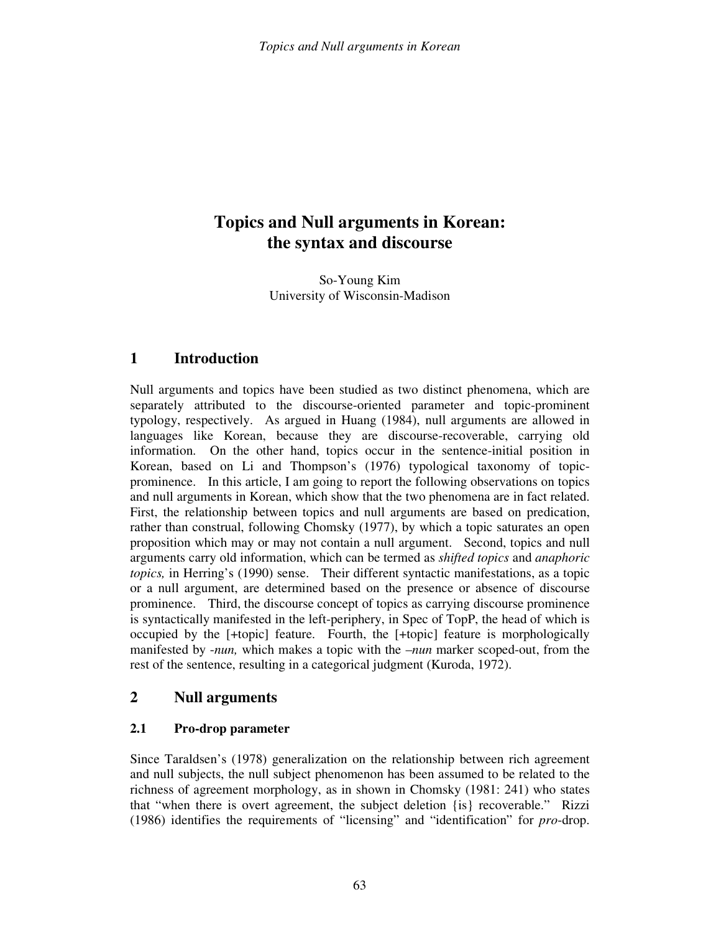# **Topics and Null arguments in Korean: the syntax and discourse**

So-Young Kim University of Wisconsin-Madison

## **1 Introduction**

Null arguments and topics have been studied as two distinct phenomena, which are separately attributed to the discourse-oriented parameter and topic-prominent typology, respectively. As argued in Huang (1984), null arguments are allowed in languages like Korean, because they are discourse-recoverable, carrying old information. On the other hand, topics occur in the sentence-initial position in Korean, based on Li and Thompson's (1976) typological taxonomy of topicprominence. In this article, I am going to report the following observations on topics and null arguments in Korean, which show that the two phenomena are in fact related. First, the relationship between topics and null arguments are based on predication, rather than construal, following Chomsky (1977), by which a topic saturates an open proposition which may or may not contain a null argument. Second, topics and null arguments carry old information, which can be termed as *shifted topics* and *anaphoric topics,* in Herring's (1990) sense. Their different syntactic manifestations, as a topic or a null argument, are determined based on the presence or absence of discourse prominence. Third, the discourse concept of topics as carrying discourse prominence is syntactically manifested in the left-periphery, in Spec of TopP, the head of which is occupied by the [+topic] feature. Fourth, the [+topic] feature is morphologically manifested by -*nun,* which makes a topic with the –*nun* marker scoped-out, from the rest of the sentence, resulting in a categorical judgment (Kuroda, 1972).

#### **2 Null arguments**

#### **2.1 Pro-drop parameter**

Since Taraldsen's (1978) generalization on the relationship between rich agreement and null subjects, the null subject phenomenon has been assumed to be related to the richness of agreement morphology, as in shown in Chomsky (1981: 241) who states that "when there is overt agreement, the subject deletion {is} recoverable." Rizzi (1986) identifies the requirements of "licensing" and "identification" for *pro*-drop.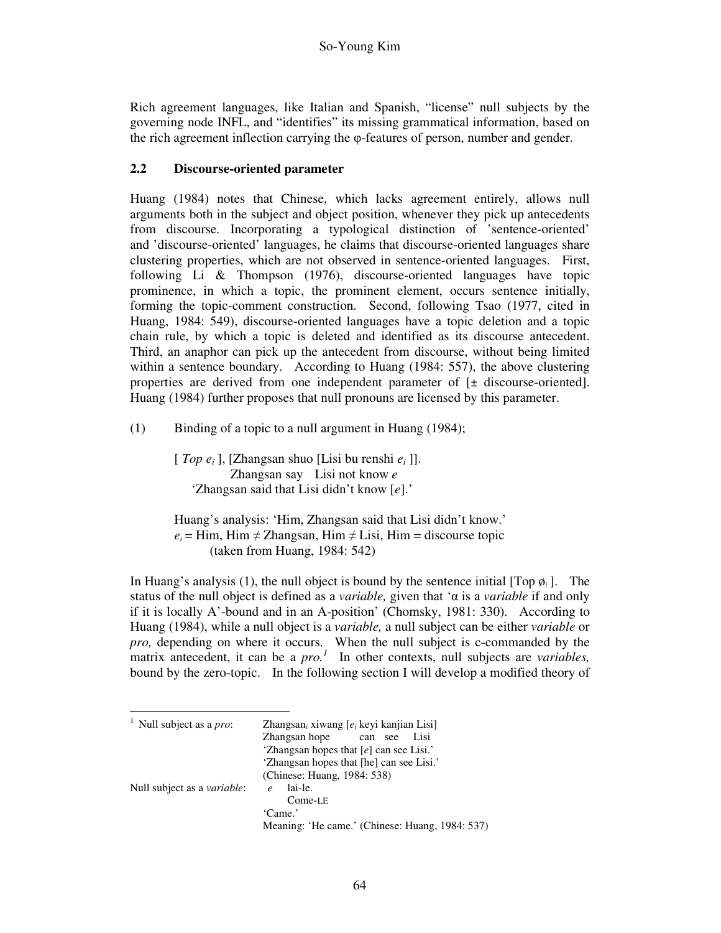Rich agreement languages, like Italian and Spanish, "license" null subjects by the governing node INFL, and "identifies" its missing grammatical information, based on the rich agreement inflection carrying the φ-features of person, number and gender.

#### **2.2 Discourse-oriented parameter**

Huang (1984) notes that Chinese, which lacks agreement entirely, allows null arguments both in the subject and object position, whenever they pick up antecedents from discourse. Incorporating a typological distinction of 'sentence-oriented' and 'discourse-oriented' languages, he claims that discourse-oriented languages share clustering properties, which are not observed in sentence-oriented languages. First, following Li & Thompson (1976), discourse-oriented languages have topic prominence, in which a topic, the prominent element, occurs sentence initially, forming the topic-comment construction. Second, following Tsao (1977, cited in Huang, 1984: 549), discourse-oriented languages have a topic deletion and a topic chain rule, by which a topic is deleted and identified as its discourse antecedent. Third, an anaphor can pick up the antecedent from discourse, without being limited within a sentence boundary. According to Huang (1984: 557), the above clustering properties are derived from one independent parameter of [± discourse-oriented]. Huang (1984) further proposes that null pronouns are licensed by this parameter.

(1) Binding of a topic to a null argument in Huang (1984);

[ *Top e<sup>i</sup>* ], [Zhangsan shuo [Lisi bu renshi *e<sup>i</sup>* ]]. Zhangsan say Lisi not know *e*  'Zhangsan said that Lisi didn't know [*e*].'

Huang's analysis: 'Him, Zhangsan said that Lisi didn't know.'  $e_i$  = Him, Him  $\neq$  Zhangsan, Him  $\neq$  Lisi, Him = discourse topic (taken from Huang, 1984: 542)

In Huang's analysis (1), the null object is bound by the sentence initial  $[\text{Top } \varphi_i]$ . The status of the null object is defined as a *variable,* given that 'α is a *variable* if and only if it is locally A'-bound and in an A-position' (Chomsky, 1981: 330). According to Huang (1984), while a null object is a *variable,* a null subject can be either *variable* or *pro,* depending on where it occurs. When the null subject is c-commanded by the matrix antecedent, it can be a *pro.*<sup>1</sup> In other contexts, null subjects are *variables*, bound by the zero-topic. In the following section I will develop a modified theory of

| <sup>1</sup> Null subject as a <i>pro</i> : | Zhangsan, xiwang $[e_i]$ keyi kanjian Lisi      |  |  |
|---------------------------------------------|-------------------------------------------------|--|--|
|                                             | Zhangsan hope can see<br>Lisi                   |  |  |
|                                             | 'Zhangsan hopes that $[e]$ can see Lisi.'       |  |  |
|                                             | 'Zhangsan hopes that [he] can see Lisi.'        |  |  |
|                                             | (Chinese: Huang, 1984: 538)                     |  |  |
| Null subject as a <i>variable</i> :         | lai-le.<br>$\boldsymbol{\rho}$                  |  |  |
|                                             | $Come-E$                                        |  |  |
|                                             | 'Came.'                                         |  |  |
|                                             | Meaning: 'He came.' (Chinese: Huang, 1984: 537) |  |  |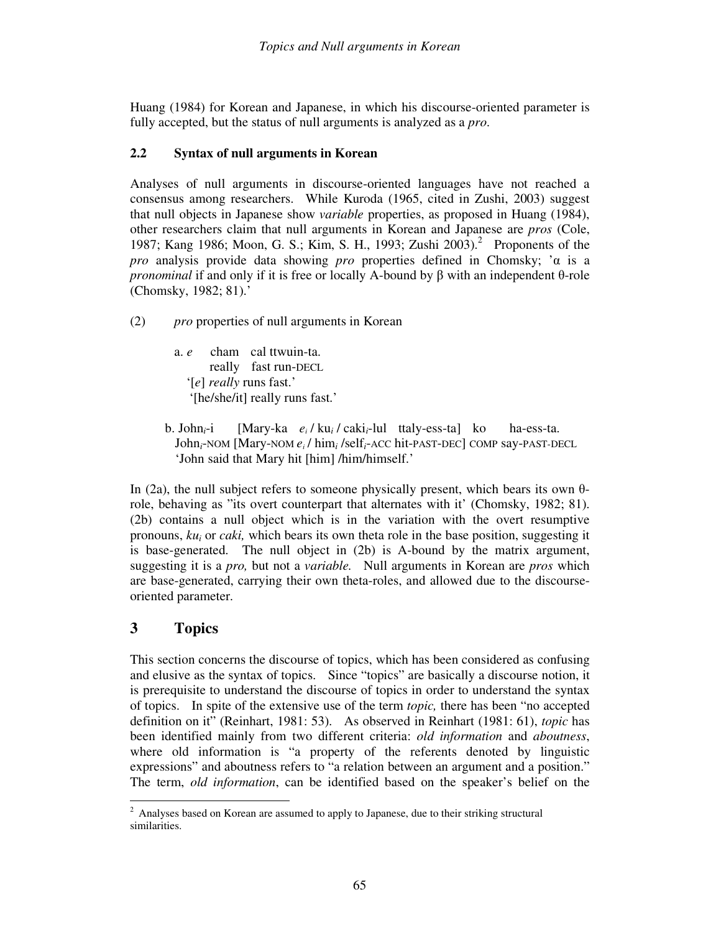Huang (1984) for Korean and Japanese, in which his discourse-oriented parameter is fully accepted, but the status of null arguments is analyzed as a *pro*.

#### **2.2 Syntax of null arguments in Korean**

Analyses of null arguments in discourse-oriented languages have not reached a consensus among researchers. While Kuroda (1965, cited in Zushi, 2003) suggest that null objects in Japanese show *variable* properties, as proposed in Huang (1984), other researchers claim that null arguments in Korean and Japanese are *pros* (Cole, 1987; Kang 1986; Moon, G. S.; Kim, S. H., 1993; Zushi 2003).<sup>2</sup> Proponents of the *pro* analysis provide data showing *pro* properties defined in Chomsky; 'α is a *pronominal* if and only if it is free or locally A-bound by β with an independent θ-role (Chomsky, 1982; 81).'

(2) *pro* properties of null arguments in Korean

- a. *e* cham cal ttwuin-ta. really fast run-DECL '[*e*] *really* runs fast.' '[he/she/it] really runs fast.'
- b. John*i*-i [Mary-ka *e<sup>i</sup>* / ku*<sup>i</sup>* / caki*i*-lul ttaly-ess-ta] ko ha-ess-ta. John*i*-NOM [Mary-NOM *e<sup>i</sup>* / him*<sup>i</sup>* /self*i*-ACC hit-PAST-DEC] COMP say-PAST-DECL 'John said that Mary hit [him] /him/himself.'

In (2a), the null subject refers to someone physically present, which bears its own  $\theta$ role, behaving as "its overt counterpart that alternates with it' (Chomsky, 1982; 81). (2b) contains a null object which is in the variation with the overt resumptive pronouns, *ku<sup>i</sup>* or *caki,* which bears its own theta role in the base position, suggesting it is base-generated. The null object in (2b) is A-bound by the matrix argument, suggesting it is a *pro,* but not a *variable.* Null arguments in Korean are *pros* which are base-generated, carrying their own theta-roles, and allowed due to the discourseoriented parameter.

# **3 Topics**

This section concerns the discourse of topics, which has been considered as confusing and elusive as the syntax of topics. Since "topics" are basically a discourse notion, it is prerequisite to understand the discourse of topics in order to understand the syntax of topics. In spite of the extensive use of the term *topic,* there has been "no accepted definition on it" (Reinhart, 1981: 53). As observed in Reinhart (1981: 61), *topic* has been identified mainly from two different criteria: *old information* and *aboutness*, where old information is "a property of the referents denoted by linguistic expressions" and aboutness refers to "a relation between an argument and a position." The term, *old information*, can be identified based on the speaker's belief on the

<sup>&</sup>lt;sup>2</sup> Analyses based on Korean are assumed to apply to Japanese, due to their striking structural similarities.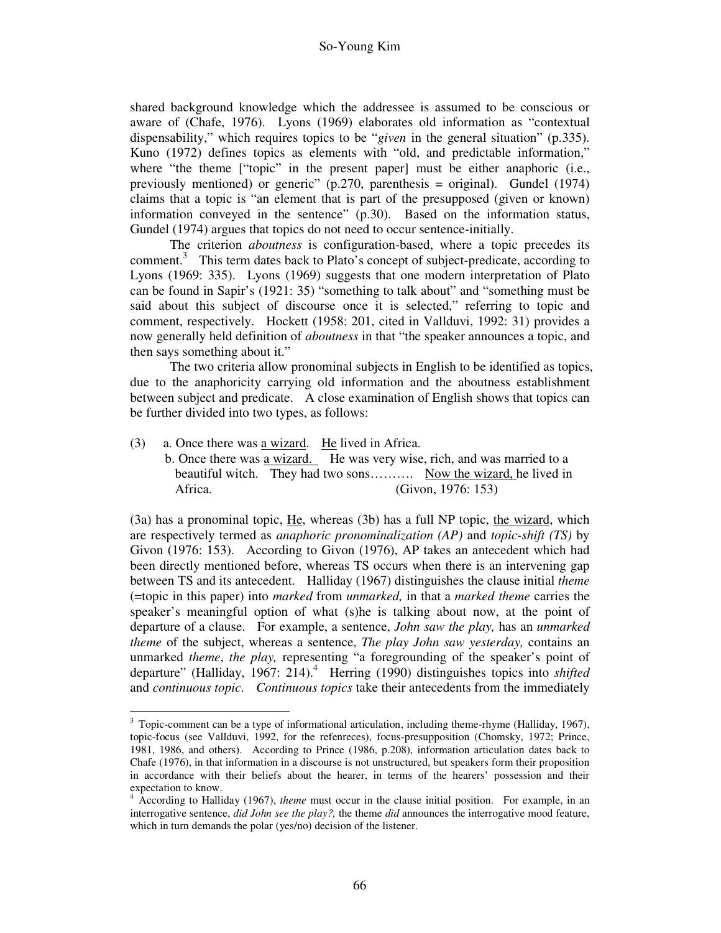shared background knowledge which the addressee is assumed to be conscious or aware of (Chafe, 1976). Lyons (1969) elaborates old information as "contextual dispensability," which requires topics to be "*given* in the general situation" (p.335). Kuno (1972) defines topics as elements with "old, and predictable information," where "the theme ["topic" in the present paper] must be either anaphoric (i.e., previously mentioned) or generic" (p.270, parenthesis = original). Gundel (1974) claims that a topic is "an element that is part of the presupposed (given or known) information conveyed in the sentence" (p.30). Based on the information status, Gundel (1974) argues that topics do not need to occur sentence-initially.

The criterion *aboutness* is configuration-based, where a topic precedes its comment.<sup>3</sup> This term dates back to Plato's concept of subject-predicate, according to Lyons (1969: 335). Lyons (1969) suggests that one modern interpretation of Plato can be found in Sapir's (1921: 35) "something to talk about" and "something must be said about this subject of discourse once it is selected," referring to topic and comment, respectively. Hockett (1958: 201, cited in Vallduvi, 1992: 31) provides a now generally held definition of *aboutness* in that "the speaker announces a topic, and then says something about it."

The two criteria allow pronominal subjects in English to be identified as topics, due to the anaphoricity carrying old information and the aboutness establishment between subject and predicate. A close examination of English shows that topics can be further divided into two types, as follows:

- (3) a. Once there was a wizard. He lived in Africa. b. Once there was a wizard. He was very wise, rich, and was married to a
	- beautiful witch. They had two sons………. Now the wizard, he lived in Africa. (Givon, 1976: 153)

(3a) has a pronominal topic, He, whereas (3b) has a full NP topic, the wizard, which are respectively termed as *anaphoric pronominalization (AP)* and *topic-shift (TS)* by Givon (1976: 153). According to Givon (1976), AP takes an antecedent which had been directly mentioned before, whereas TS occurs when there is an intervening gap between TS and its antecedent. Halliday (1967) distinguishes the clause initial *theme*  (=topic in this paper) into *marked* from *unmarked,* in that a *marked theme* carries the speaker's meaningful option of what (s)he is talking about now, at the point of departure of a clause. For example, a sentence, *John saw the play,* has an *unmarked theme* of the subject, whereas a sentence, *The play John saw yesterday,* contains an unmarked *theme*, *the play,* representing "a foregrounding of the speaker's point of departure" (Halliday, 1967: 214).<sup>4</sup> Herring (1990) distinguishes topics into *shifted* and *continuous topic*. *Continuous topics* take their antecedents from the immediately

<sup>-</sup> $3$  Topic-comment can be a type of informational articulation, including theme-rhyme (Halliday, 1967), topic-focus (see Vallduvi, 1992, for the refenreces), focus-presupposition (Chomsky, 1972; Prince, 1981, 1986, and others). According to Prince (1986, p.208), information articulation dates back to Chafe (1976), in that information in a discourse is not unstructured, but speakers form their proposition in accordance with their beliefs about the hearer, in terms of the hearers' possession and their expectation to know.<br><sup>4</sup> According to Hellis

According to Halliday (1967), *theme* must occur in the clause initial position. For example, in an interrogative sentence, *did John see the play?,* the theme *did* announces the interrogative mood feature, which in turn demands the polar (yes/no) decision of the listener.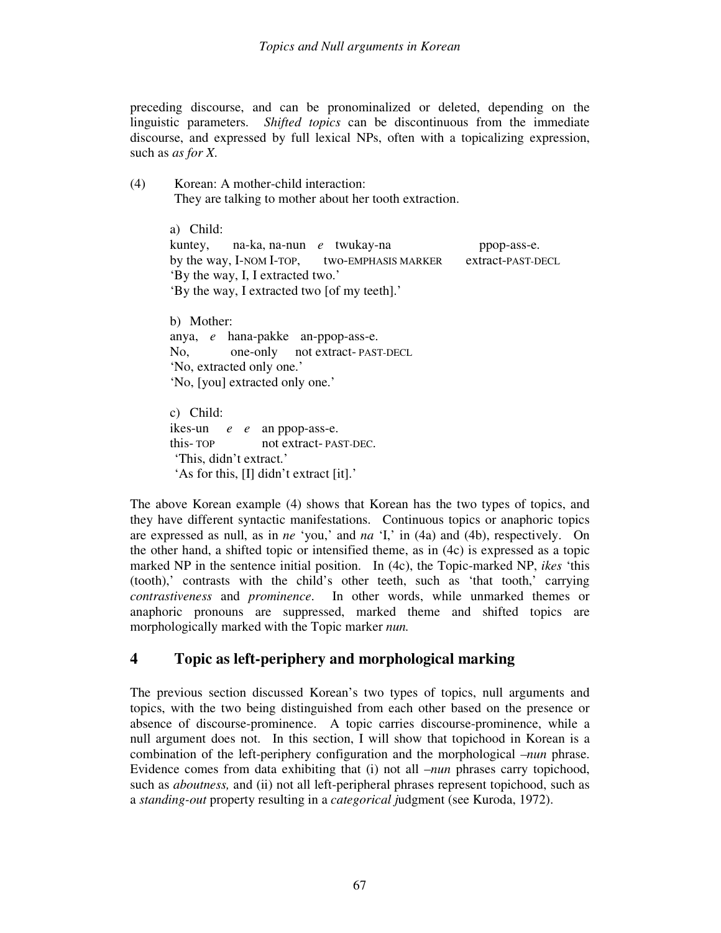preceding discourse, and can be pronominalized or deleted, depending on the linguistic parameters. *Shifted topics* can be discontinuous from the immediate discourse, and expressed by full lexical NPs, often with a topicalizing expression, such as *as for X*.

(4) Korean: A mother-child interaction: They are talking to mother about her tooth extraction.

```
a) Child: 
kuntey, na-ka, na-nun e twukay-na ppop-ass-e. 
by the way, I-NOM I-TOP, two-EMPHASIS MARKER extract-PAST-DECL
'By the way, I, I extracted two.' 
'By the way, I extracted two [of my teeth].'
```
b) Mother: anya, *e* hana-pakke an-ppop-ass-e. No, one-only not extract- PAST-DECL 'No, extracted only one.' 'No, [you] extracted only one.'

c) Child: ikes-un *e e* an ppop-ass-e. this- TOP not extract- PAST-DEC. 'This, didn't extract.' 'As for this, [I] didn't extract [it].'

The above Korean example (4) shows that Korean has the two types of topics, and they have different syntactic manifestations. Continuous topics or anaphoric topics are expressed as null, as in *ne* 'you,' and *na* 'I,' in (4a) and (4b), respectively. On the other hand, a shifted topic or intensified theme, as in (4c) is expressed as a topic marked NP in the sentence initial position. In (4c), the Topic-marked NP, *ikes* 'this (tooth),' contrasts with the child's other teeth, such as 'that tooth,' carrying *contrastiveness* and *prominence*. In other words, while unmarked themes or anaphoric pronouns are suppressed, marked theme and shifted topics are morphologically marked with the Topic marker *nun.* 

## **4 Topic as left-periphery and morphological marking**

The previous section discussed Korean's two types of topics, null arguments and topics, with the two being distinguished from each other based on the presence or absence of discourse-prominence. A topic carries discourse-prominence, while a null argument does not. In this section, I will show that topichood in Korean is a combination of the left-periphery configuration and the morphological *–nun* phrase. Evidence comes from data exhibiting that (i) not all –*nun* phrases carry topichood, such as *aboutness,* and (ii) not all left-peripheral phrases represent topichood, such as a *standing-out* property resulting in a *categorical j*udgment (see Kuroda, 1972).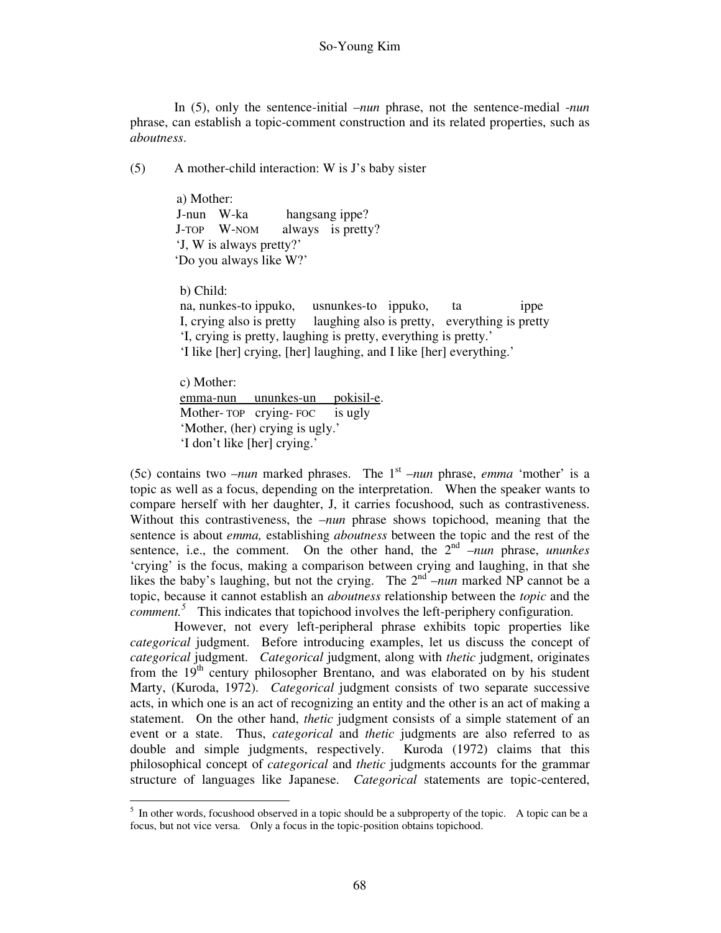In (5), only the sentence-initial –*nun* phrase, not the sentence-medial -*nun*  phrase, can establish a topic-comment construction and its related properties, such as *aboutness*.

(5) A mother-child interaction: W is J's baby sister

a) Mother: J-nun W-ka hangsang ippe? J-TOP W-NOM always is pretty? 'J, W is always pretty?' 'Do you always like W?'

b) Child:

-

na, nunkes-to ippuko, usnunkes-to ippuko, ta ippe I, crying also is pretty laughing also is pretty, everything is pretty 'I, crying is pretty, laughing is pretty, everything is pretty.' 'I like [her] crying, [her] laughing, and I like [her] everything.'

c) Mother: emma-nun ununkes-un pokisil-e. Mother- TOP crying- FOC is ugly 'Mother, (her) crying is ugly.' 'I don't like [her] crying.'

(5c) contains two  $-*num*$  marked phrases. The 1<sup>st</sup>  $-*num*$  phrase, *emma* 'mother' is a topic as well as a focus, depending on the interpretation. When the speaker wants to compare herself with her daughter, J, it carries focushood, such as contrastiveness. Without this contrastiveness, the –*nun* phrase shows topichood, meaning that the sentence is about *emma,* establishing *aboutness* between the topic and the rest of the sentence, i.e., the comment. On the other hand, the  $2^{nd}$   $\overline{-}$ *nun* phrase, *ununkes* 'crying' is the focus, making a comparison between crying and laughing, in that she likes the baby's laughing, but not the crying. The  $2<sup>nd</sup>$  –*nun* marked NP cannot be a topic, because it cannot establish an *aboutness* relationship between the *topic* and the  *This indicates that topichood involves the left-periphery configuration.* 

 However, not every left-peripheral phrase exhibits topic properties like *categorical* judgment. Before introducing examples, let us discuss the concept of *categorical* judgment. *Categorical* judgment, along with *thetic* judgment, originates from the  $19<sup>th</sup>$  century philosopher Brentano, and was elaborated on by his student Marty, (Kuroda, 1972). *Categorical* judgment consists of two separate successive acts, in which one is an act of recognizing an entity and the other is an act of making a statement. On the other hand, *thetic* judgment consists of a simple statement of an event or a state. Thus, *categorical* and *thetic* judgments are also referred to as double and simple judgments, respectively. Kuroda (1972) claims that this philosophical concept of *categorical* and *thetic* judgments accounts for the grammar structure of languages like Japanese. *Categorical* statements are topic-centered,

<sup>&</sup>lt;sup>5</sup> In other words, focushood observed in a topic should be a subproperty of the topic. A topic can be a focus, but not vice versa. Only a focus in the topic-position obtains topichood.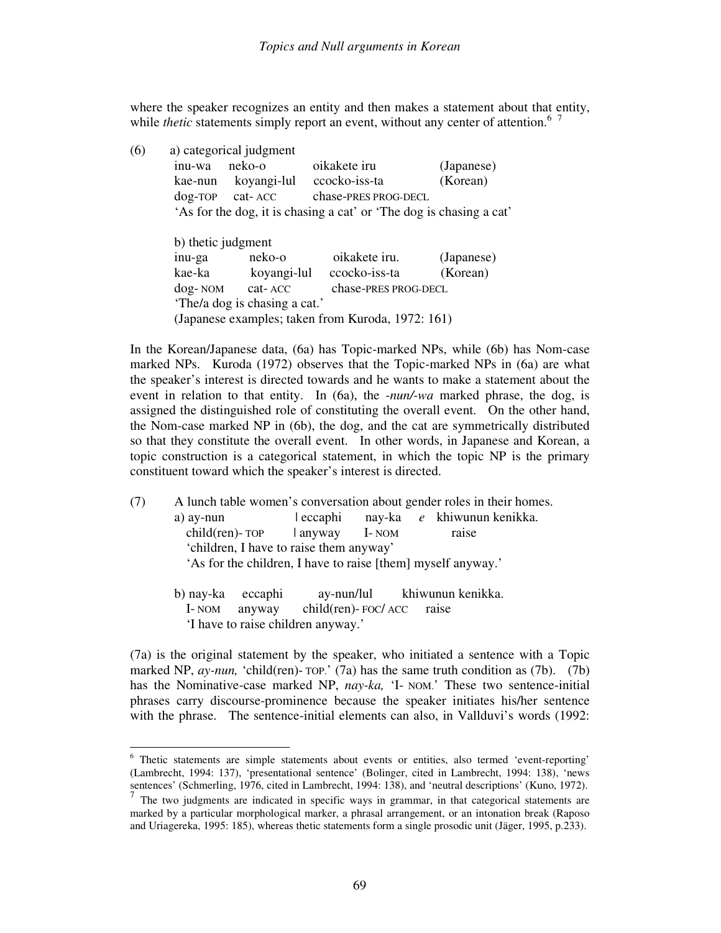where the speaker recognizes an entity and then makes a statement about that entity, while *thetic* statements simply report an event, without any center of attention.<sup>6</sup>

| (6) |                                                                     | a) categorical judgment                           |                      |            |  |  |
|-----|---------------------------------------------------------------------|---------------------------------------------------|----------------------|------------|--|--|
|     | inu-wa                                                              | neko-o                                            | oikakete iru         | (Japanese) |  |  |
|     | kae-nun                                                             | koyangi-lul                                       | ccocko-iss-ta        | (Korean)   |  |  |
|     | $dog$ -TOP cat-ACC                                                  |                                                   | chase-PRES PROG-DECL |            |  |  |
|     | 'As for the dog, it is chasing a cat' or 'The dog is chasing a cat' |                                                   |                      |            |  |  |
|     |                                                                     |                                                   |                      |            |  |  |
|     | b) thetic judgment                                                  |                                                   |                      |            |  |  |
|     | inu-ga                                                              | neko-o                                            | oikakete iru.        | (Japanese) |  |  |
|     | kae-ka                                                              | koyangi-lul                                       | ccocko-iss-ta        | (Korean)   |  |  |
|     |                                                                     | chase-PRES PROG-DECL<br>dog-NOM cat-ACC           |                      |            |  |  |
|     |                                                                     | 'The/a dog is chasing a cat.'                     |                      |            |  |  |
|     |                                                                     | (Japanese examples; taken from Kuroda, 1972: 161) |                      |            |  |  |

In the Korean/Japanese data, (6a) has Topic-marked NPs, while (6b) has Nom-case marked NPs. Kuroda (1972) observes that the Topic-marked NPs in (6a) are what the speaker's interest is directed towards and he wants to make a statement about the event in relation to that entity. In (6a), the -*nun/-wa* marked phrase, the dog, is assigned the distinguished role of constituting the overall event. On the other hand, the Nom-case marked NP in (6b), the dog, and the cat are symmetrically distributed so that they constitute the overall event. In other words, in Japanese and Korean, a topic construction is a categorical statement, in which the topic NP is the primary constituent toward which the speaker's interest is directed.

- (7) A lunch table women's conversation about gender roles in their homes. a) ay-nun | eccaphi nay-ka *e* khiwunun kenikka.  $child(ren)$ -  $TOP$  | anyway I- NOM raise 'children, I have to raise them anyway' 'As for the children, I have to raise [them] myself anyway.'
	- b) nay-ka eccaphi ay-nun/lul khiwunun kenikka. I- NOM anyway child(ren)- FOC/ ACC raise 'I have to raise children anyway.'

(7a) is the original statement by the speaker, who initiated a sentence with a Topic marked NP, *ay-nun*, 'child(ren)- TOP.' (7a) has the same truth condition as (7b). (7b) has the Nominative-case marked NP, *nay-ka,* 'I- NOM.' These two sentence-initial phrases carry discourse-prominence because the speaker initiates his/her sentence with the phrase. The sentence-initial elements can also, in Vallduvi's words (1992:

<sup>&</sup>lt;sup>6</sup> Thetic statements are simple statements about events or entities, also termed 'event-reporting' (Lambrecht, 1994: 137), 'presentational sentence' (Bolinger, cited in Lambrecht, 1994: 138), 'news sentences' (Schmerling, 1976, cited in Lambrecht, 1994: 138), and 'neutral descriptions' (Kuno, 1972).

 $<sup>7</sup>$  The two judgments are indicated in specific ways in grammar, in that categorical statements are</sup> marked by a particular morphological marker, a phrasal arrangement, or an intonation break (Raposo and Uriagereka, 1995: 185), whereas thetic statements form a single prosodic unit (Jäger, 1995, p.233).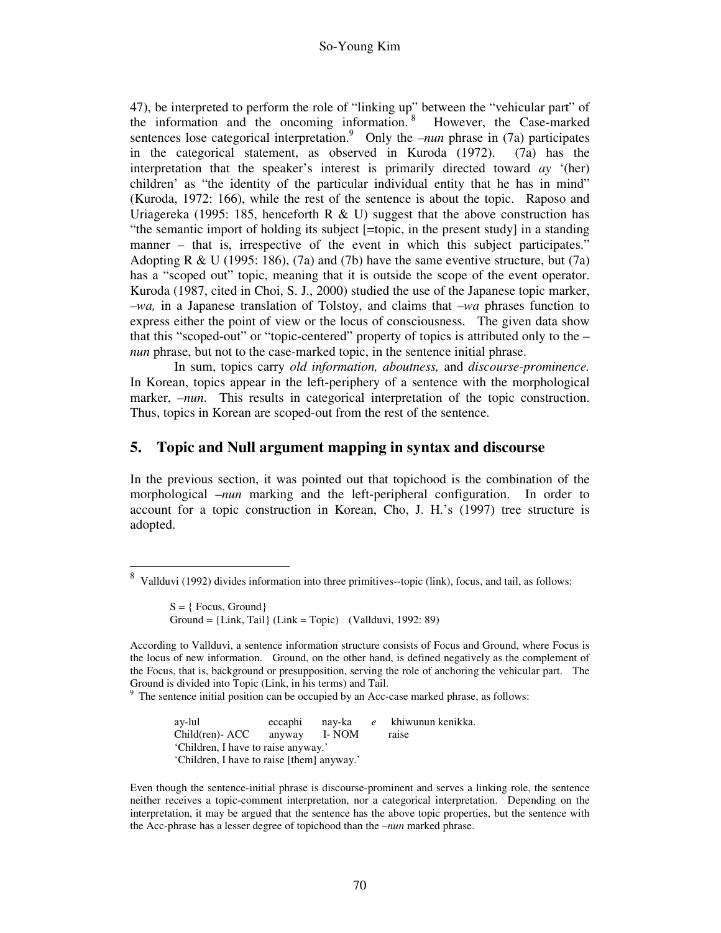47), be interpreted to perform the role of "linking up" between the "vehicular part" of the information and the oncoming information. <sup>8</sup> However, the Case-marked sentences lose categorical interpretation.<sup>9</sup> Only the *–nun* phrase in (7a) participates in the categorical statement, as observed in Kuroda (1972). (7a) has the interpretation that the speaker's interest is primarily directed toward *ay* '(her) children' as "the identity of the particular individual entity that he has in mind" (Kuroda, 1972: 166), while the rest of the sentence is about the topic. Raposo and Uriagereka (1995: 185, henceforth R & U) suggest that the above construction has "the semantic import of holding its subject [=topic, in the present study] in a standing manner – that is, irrespective of the event in which this subject participates." Adopting R & U (1995: 186), (7a) and (7b) have the same eventive structure, but (7a) has a "scoped out" topic, meaning that it is outside the scope of the event operator. Kuroda (1987, cited in Choi, S. J., 2000) studied the use of the Japanese topic marker, –*wa,* in a Japanese translation of Tolstoy, and claims that –*wa* phrases function to express either the point of view or the locus of consciousness. The given data show that this "scoped-out" or "topic-centered" property of topics is attributed only to the – *nun* phrase, but not to the case-marked topic, in the sentence initial phrase.

 In sum, topics carry *old information, aboutness,* and *discourse-prominence.*  In Korean, topics appear in the left-periphery of a sentence with the morphological marker, –*nun*. This results in categorical interpretation of the topic construction. Thus, topics in Korean are scoped-out from the rest of the sentence.

#### **5. Topic and Null argument mapping in syntax and discourse**

In the previous section, it was pointed out that topichood is the combination of the morphological *–nun* marking and the left-peripheral configuration. In order to account for a topic construction in Korean, Cho, J. H.'s (1997) tree structure is adopted.

 $S = \{ \text{Focus}, \text{Ground} \}$ Ground =  ${Link, Tail}$  (Link = Topic) (Vallduvi, 1992: 89)

9 The sentence initial position can be occupied by an Acc-case marked phrase, as follows:

> ay-lul eccaphi nay-ka *e* khiwunun kenikka. Child(ren)- ACC anyway I- NOM raise 'Children, I have to raise anyway.' 'Children, I have to raise [them] anyway.'

<sup>-&</sup>lt;br>8 Vallduvi (1992) divides information into three primitives--topic (link), focus, and tail, as follows:

According to Vallduvi, a sentence information structure consists of Focus and Ground, where Focus is the locus of new information. Ground, on the other hand, is defined negatively as the complement of the Focus, that is, background or presupposition, serving the role of anchoring the vehicular part. The Ground is divided into Topic (Link, in his terms) and Tail.

Even though the sentence-initial phrase is discourse-prominent and serves a linking role, the sentence neither receives a topic-comment interpretation, nor a categorical interpretation. Depending on the interpretation, it may be argued that the sentence has the above topic properties, but the sentence with the Acc-phrase has a lesser degree of topichood than the –*nun* marked phrase.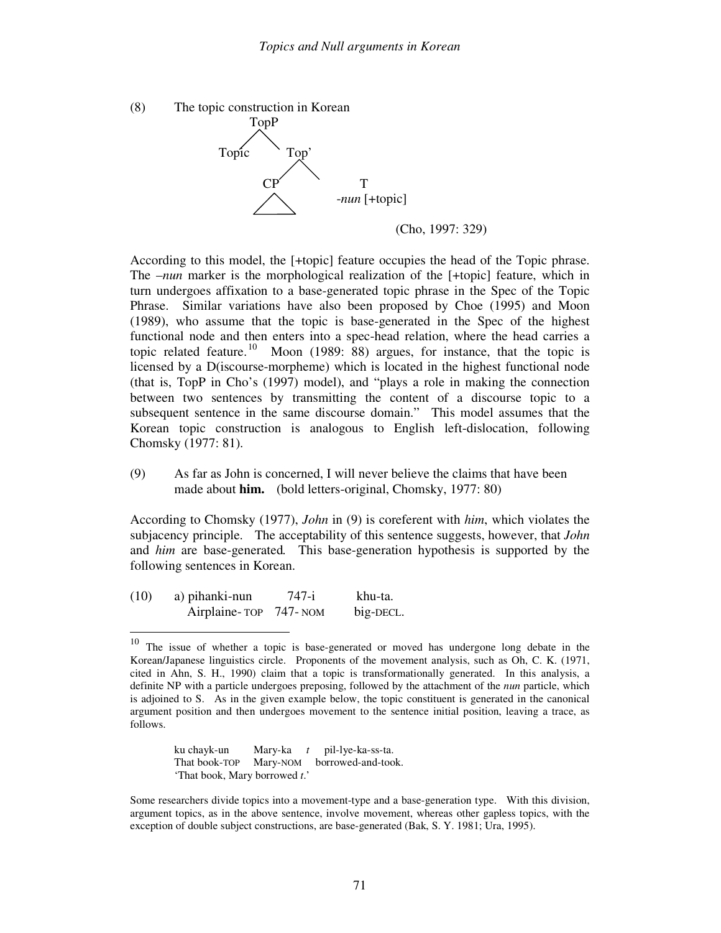

According to this model, the [+topic] feature occupies the head of the Topic phrase. The *-nun* marker is the morphological realization of the [+topic] feature, which in turn undergoes affixation to a base-generated topic phrase in the Spec of the Topic Phrase. Similar variations have also been proposed by Choe (1995) and Moon (1989), who assume that the topic is base-generated in the Spec of the highest functional node and then enters into a spec-head relation, where the head carries a topic related feature.<sup>10</sup> Moon (1989: 88) argues, for instance, that the topic is licensed by a D(iscourse-morpheme) which is located in the highest functional node (that is, TopP in Cho's (1997) model), and "plays a role in making the connection between two sentences by transmitting the content of a discourse topic to a subsequent sentence in the same discourse domain." This model assumes that the Korean topic construction is analogous to English left-dislocation, following Chomsky (1977: 81).

(9) As far as John is concerned, I will never believe the claims that have been made about **him.** (bold letters-original, Chomsky, 1977: 80)

According to Chomsky (1977), *John* in (9) is coreferent with *him*, which violates the subjacency principle. The acceptability of this sentence suggests, however, that *John*  and *him* are base-generated*.* This base-generation hypothesis is supported by the following sentences in Korean.

(10) a) pihanki-nun 747-i khu-ta. Airplaine- TOP 747- NOM big-DECL.

 ku chayk-un Mary-ka *t* pil-lye-ka-ss-ta. That book-TOP Mary-NOM borrowed-and-took. 'That book, Mary borrowed *t*.'

Some researchers divide topics into a movement-type and a base-generation type. With this division, argument topics, as in the above sentence, involve movement, whereas other gapless topics, with the exception of double subject constructions, are base-generated (Bak, S. Y. 1981; Ura, 1995).

 $10\,$ The issue of whether a topic is base-generated or moved has undergone long debate in the Korean/Japanese linguistics circle. Proponents of the movement analysis, such as Oh, C. K. (1971, cited in Ahn, S. H., 1990) claim that a topic is transformationally generated. In this analysis, a definite NP with a particle undergoes preposing, followed by the attachment of the *nun* particle, which is adjoined to S. As in the given example below, the topic constituent is generated in the canonical argument position and then undergoes movement to the sentence initial position, leaving a trace, as follows.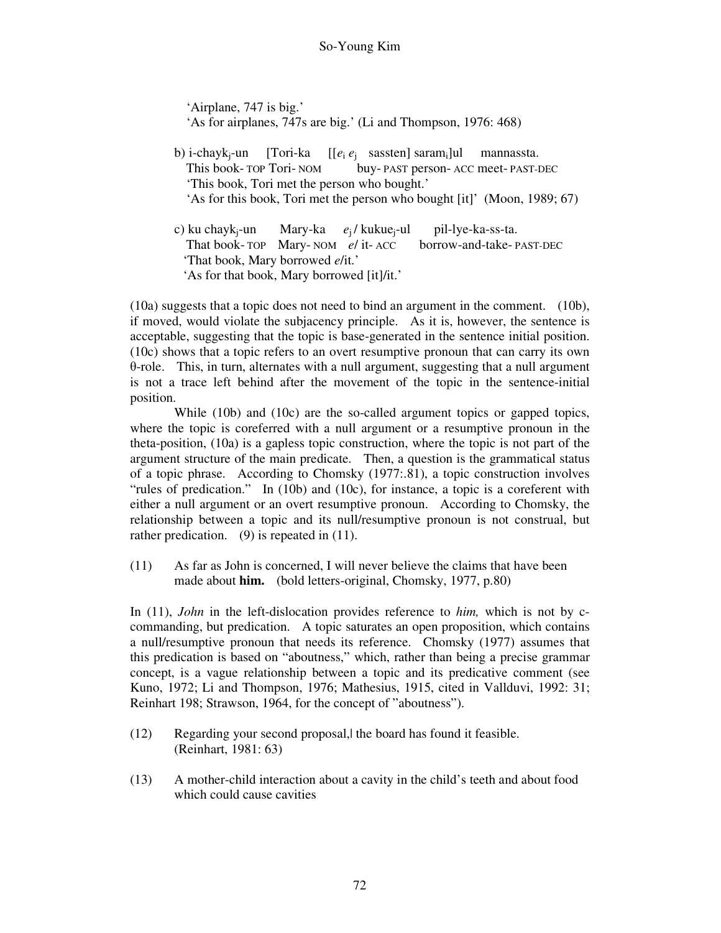'Airplane, 747 is big.' 'As for airplanes, 747s are big.' (Li and Thompson, 1976: 468)

- b) i-chayk<sub>i</sub>-un [Tori-ka  $\left[ [e_i \, e_i \right]$  sassten] saram<sub>i</sub>]ul mannassta. This book- TOP Tori- NOM buy- PAST person- ACC meet- PAST-DEC 'This book, Tori met the person who bought.' 'As for this book, Tori met the person who bought [it]' (Moon, 1989; 67)
- c) ku chaykj-un Mary-ka *e*j / kukuej-ul pil-lye-ka-ss-ta. That book- TOP Mary- NOM *e*/ it- ACC borrow-and-take- PAST-DEC 'That book, Mary borrowed *e*/it.' 'As for that book, Mary borrowed [it]/it.'

(10a) suggests that a topic does not need to bind an argument in the comment. (10b), if moved, would violate the subjacency principle. As it is, however, the sentence is acceptable, suggesting that the topic is base-generated in the sentence initial position. (10c) shows that a topic refers to an overt resumptive pronoun that can carry its own θ-role. This, in turn, alternates with a null argument, suggesting that a null argument is not a trace left behind after the movement of the topic in the sentence-initial position.

While (10b) and (10c) are the so-called argument topics or gapped topics, where the topic is coreferred with a null argument or a resumptive pronoun in the theta-position, (10a) is a gapless topic construction, where the topic is not part of the argument structure of the main predicate. Then, a question is the grammatical status of a topic phrase. According to Chomsky (1977:.81), a topic construction involves "rules of predication." In (10b) and (10c), for instance, a topic is a coreferent with either a null argument or an overt resumptive pronoun. According to Chomsky, the relationship between a topic and its null/resumptive pronoun is not construal, but rather predication. (9) is repeated in (11).

(11) As far as John is concerned, I will never believe the claims that have been made about **him.** (bold letters-original, Chomsky, 1977, p.80)

In (11), *John* in the left-dislocation provides reference to *him,* which is not by ccommanding, but predication. A topic saturates an open proposition, which contains a null/resumptive pronoun that needs its reference. Chomsky (1977) assumes that this predication is based on "aboutness," which, rather than being a precise grammar concept, is a vague relationship between a topic and its predicative comment (see Kuno, 1972; Li and Thompson, 1976; Mathesius, 1915, cited in Vallduvi, 1992: 31; Reinhart 198; Strawson, 1964, for the concept of "aboutness").

- (12) Regarding your second proposal,| the board has found it feasible. (Reinhart, 1981: 63)
- (13) A mother-child interaction about a cavity in the child's teeth and about food which could cause cavities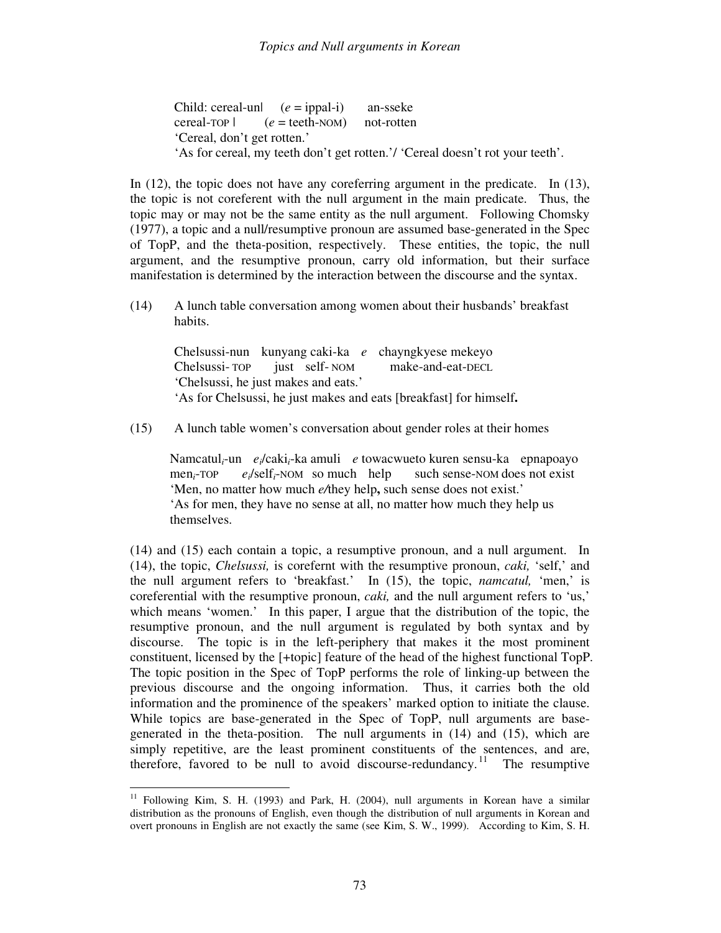Child: cereal-un| (*e* = ippal-i) an-sseke cereal-TOP | (*e* = teeth-NOM) not-rotten 'Cereal, don't get rotten.' 'As for cereal, my teeth don't get rotten.'/ 'Cereal doesn't rot your teeth'.

In (12), the topic does not have any coreferring argument in the predicate. In (13), the topic is not coreferent with the null argument in the main predicate. Thus, the topic may or may not be the same entity as the null argument. Following Chomsky (1977), a topic and a null/resumptive pronoun are assumed base-generated in the Spec of TopP, and the theta-position, respectively. These entities, the topic, the null argument, and the resumptive pronoun, carry old information, but their surface manifestation is determined by the interaction between the discourse and the syntax.

(14) A lunch table conversation among women about their husbands' breakfast habits.

 Chelsussi-nun kunyang caki-ka *e* chayngkyese mekeyo Chelsussi- TOP just self- NOM make-and-eat-DECL 'Chelsussi, he just makes and eats.' 'As for Chelsussi, he just makes and eats [breakfast] for himself**.**

(15) A lunch table women's conversation about gender roles at their homes

Namcatul*i*-un *ei*/caki*i*-ka amuli *e* towacwueto kuren sensu-ka epnapoayo men*i*-TOP *ei*/self*i*-NOM so much help such sense-NOM does not exist 'Men, no matter how much *e/*they help**,** such sense does not exist.' 'As for men, they have no sense at all, no matter how much they help us themselves.

(14) and (15) each contain a topic, a resumptive pronoun, and a null argument. In (14), the topic, *Chelsussi,* is corefernt with the resumptive pronoun, *caki,* 'self,' and the null argument refers to 'breakfast.' In (15), the topic, *namcatul,* 'men,' is coreferential with the resumptive pronoun, *caki,* and the null argument refers to 'us,' which means 'women.' In this paper, I argue that the distribution of the topic, the resumptive pronoun, and the null argument is regulated by both syntax and by discourse. The topic is in the left-periphery that makes it the most prominent constituent, licensed by the [+topic] feature of the head of the highest functional TopP. The topic position in the Spec of TopP performs the role of linking-up between the previous discourse and the ongoing information. Thus, it carries both the old information and the prominence of the speakers' marked option to initiate the clause. While topics are base-generated in the Spec of TopP, null arguments are basegenerated in the theta-position. The null arguments in (14) and (15), which are simply repetitive, are the least prominent constituents of the sentences, and are, therefore, favored to be null to avoid discourse-redundancy.<sup>11</sup> The resumptive

<sup>-</sup><sup>11</sup> Following Kim, S. H. (1993) and Park, H. (2004), null arguments in Korean have a similar distribution as the pronouns of English, even though the distribution of null arguments in Korean and overt pronouns in English are not exactly the same (see Kim, S. W., 1999). According to Kim, S. H.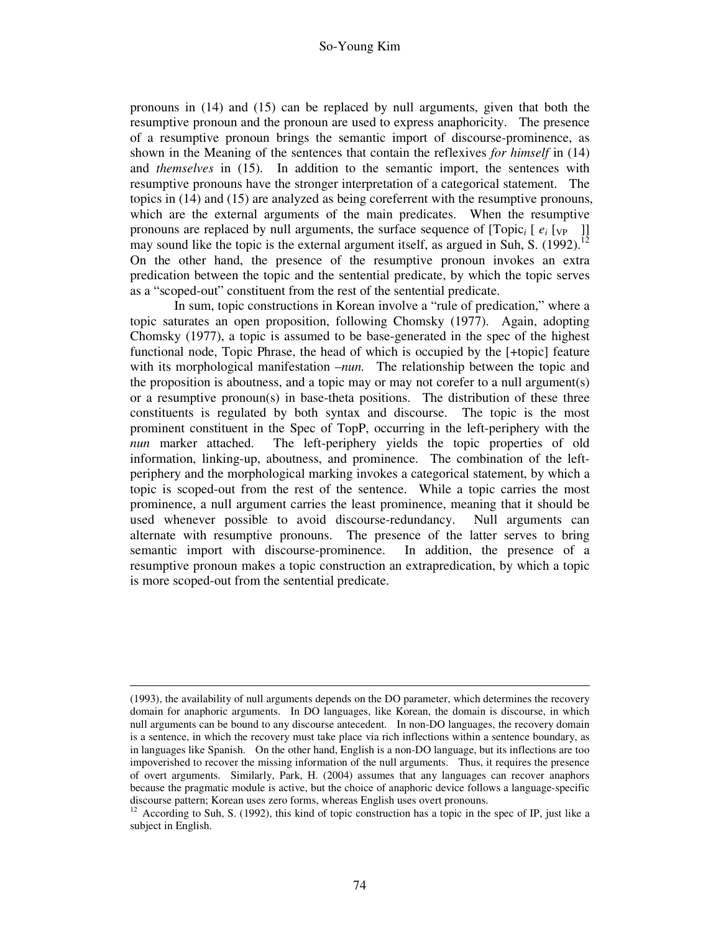pronouns in (14) and (15) can be replaced by null arguments, given that both the resumptive pronoun and the pronoun are used to express anaphoricity. The presence of a resumptive pronoun brings the semantic import of discourse-prominence, as shown in the Meaning of the sentences that contain the reflexives *for himself* in (14) and *themselves* in (15). In addition to the semantic import, the sentences with resumptive pronouns have the stronger interpretation of a categorical statement. The topics in (14) and (15) are analyzed as being coreferrent with the resumptive pronouns, which are the external arguments of the main predicates. When the resumptive pronouns are replaced by null arguments, the surface sequence of  $[Topic_i [e_i[v_P]]$ may sound like the topic is the external argument itself, as argued in Suh, S. (1992). On the other hand, the presence of the resumptive pronoun invokes an extra predication between the topic and the sentential predicate, by which the topic serves as a "scoped-out" constituent from the rest of the sentential predicate.

 In sum, topic constructions in Korean involve a "rule of predication," where a topic saturates an open proposition, following Chomsky (1977). Again, adopting Chomsky (1977), a topic is assumed to be base-generated in the spec of the highest functional node, Topic Phrase, the head of which is occupied by the [+topic] feature with its morphological manifestation –*nun*. The relationship between the topic and the proposition is aboutness, and a topic may or may not corefer to a null argument(s) or a resumptive pronoun(s) in base-theta positions. The distribution of these three constituents is regulated by both syntax and discourse. The topic is the most prominent constituent in the Spec of TopP, occurring in the left-periphery with the *nun* marker attached. The left-periphery yields the topic properties of old information, linking-up, aboutness, and prominence. The combination of the leftperiphery and the morphological marking invokes a categorical statement, by which a topic is scoped-out from the rest of the sentence. While a topic carries the most prominence, a null argument carries the least prominence, meaning that it should be used whenever possible to avoid discourse-redundancy. Null arguments can alternate with resumptive pronouns. The presence of the latter serves to bring semantic import with discourse-prominence. In addition, the presence of a resumptive pronoun makes a topic construction an extrapredication, by which a topic is more scoped-out from the sentential predicate.

-

<sup>(1993),</sup> the availability of null arguments depends on the DO parameter, which determines the recovery domain for anaphoric arguments. In DO languages, like Korean, the domain is discourse, in which null arguments can be bound to any discourse antecedent. In non-DO languages, the recovery domain is a sentence, in which the recovery must take place via rich inflections within a sentence boundary, as in languages like Spanish. On the other hand, English is a non-DO language, but its inflections are too impoverished to recover the missing information of the null arguments. Thus, it requires the presence of overt arguments. Similarly, Park, H. (2004) assumes that any languages can recover anaphors because the pragmatic module is active, but the choice of anaphoric device follows a language-specific discourse pattern; Korean uses zero forms, whereas English uses overt pronouns.

 $12$  According to Suh, S. (1992), this kind of topic construction has a topic in the spec of IP, just like a subject in English.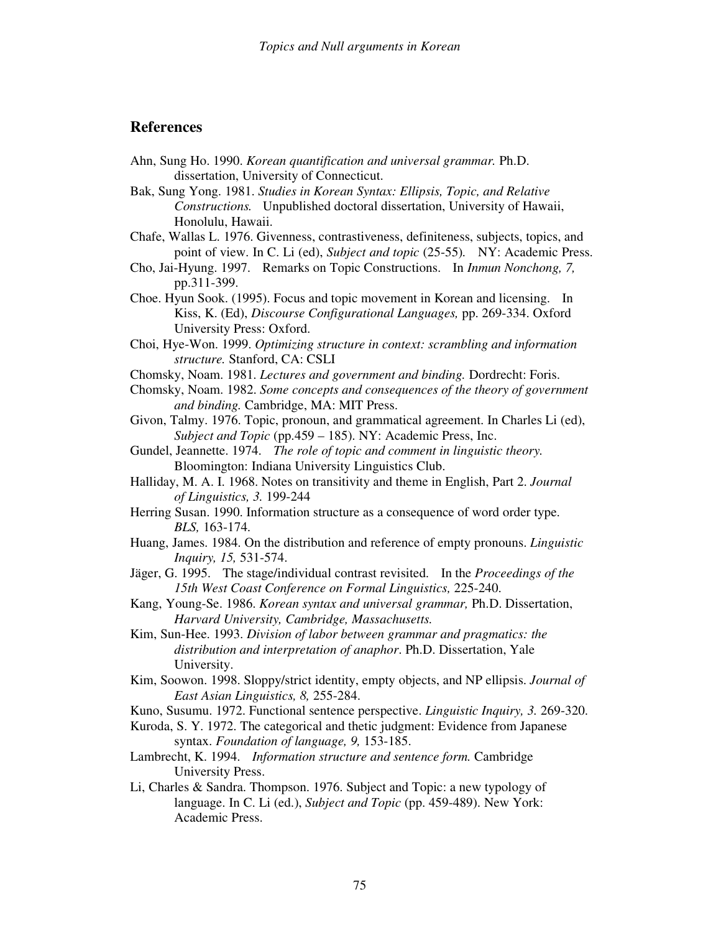#### **References**

- Ahn, Sung Ho. 1990. *Korean quantification and universal grammar.* Ph.D. dissertation, University of Connecticut.
- Bak, Sung Yong. 1981. *Studies in Korean Syntax: Ellipsis, Topic, and Relative Constructions.* Unpublished doctoral dissertation, University of Hawaii, Honolulu, Hawaii.
- Chafe, Wallas L. 1976. Givenness, contrastiveness, definiteness, subjects, topics, and point of view. In C. Li (ed), *Subject and topic* (25-55)*.* NY: Academic Press.
- Cho, Jai-Hyung. 1997. Remarks on Topic Constructions. In *Inmun Nonchong, 7,*  pp.311-399.
- Choe. Hyun Sook. (1995). Focus and topic movement in Korean and licensing. In Kiss, K. (Ed), *Discourse Configurational Languages,* pp. 269-334. Oxford University Press: Oxford.
- Choi, Hye-Won. 1999. *Optimizing structure in context: scrambling and information structure.* Stanford, CA: CSLI
- Chomsky, Noam. 1981. *Lectures and government and binding.* Dordrecht: Foris.
- Chomsky, Noam. 1982. *Some concepts and consequences of the theory of government and binding.* Cambridge, MA: MIT Press.
- Givon, Talmy. 1976. Topic, pronoun, and grammatical agreement. In Charles Li (ed), *Subject and Topic* (pp.459 – 185). NY: Academic Press, Inc.
- Gundel, Jeannette. 1974. *The role of topic and comment in linguistic theory.*  Bloomington: Indiana University Linguistics Club.
- Halliday, M. A. I. 1968. Notes on transitivity and theme in English, Part 2. *Journal of Linguistics, 3.* 199-244
- Herring Susan. 1990. Information structure as a consequence of word order type. *BLS,* 163-174.
- Huang, James. 1984. On the distribution and reference of empty pronouns. *Linguistic Inquiry, 15,* 531-574.
- Jäger, G. 1995. The stage/individual contrast revisited. In the *Proceedings of the 15th West Coast Conference on Formal Linguistics,* 225-240.
- Kang, Young-Se. 1986. *Korean syntax and universal grammar,* Ph.D. Dissertation, *Harvard University, Cambridge, Massachusetts.*
- Kim, Sun-Hee. 1993. *Division of labor between grammar and pragmatics: the distribution and interpretation of anaphor*. Ph.D. Dissertation, Yale University.
- Kim, Soowon. 1998. Sloppy/strict identity, empty objects, and NP ellipsis. *Journal of East Asian Linguistics, 8,* 255-284.
- Kuno, Susumu. 1972. Functional sentence perspective. *Linguistic Inquiry, 3.* 269-320.
- Kuroda, S. Y. 1972. The categorical and thetic judgment: Evidence from Japanese syntax. *Foundation of language, 9,* 153-185.
- Lambrecht, K. 1994. *Information structure and sentence form.* Cambridge University Press.
- Li, Charles & Sandra. Thompson. 1976. Subject and Topic: a new typology of language. In C. Li (ed.), *Subject and Topic* (pp. 459-489). New York: Academic Press.